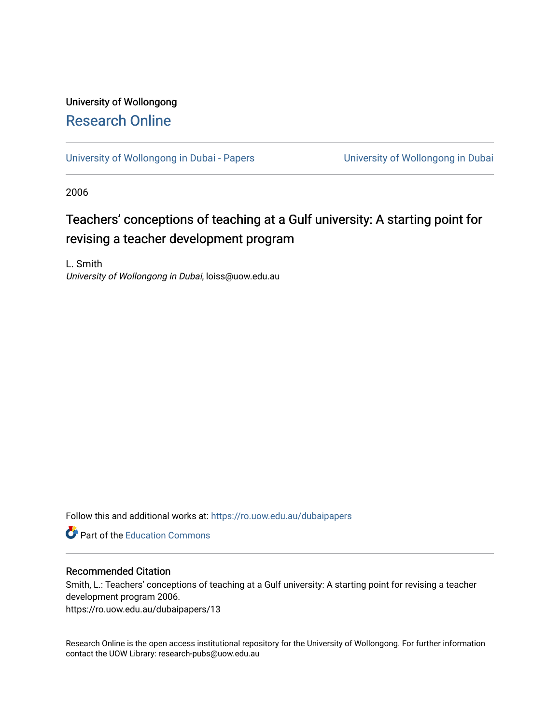# University of Wollongong [Research Online](https://ro.uow.edu.au/)

[University of Wollongong in Dubai - Papers](https://ro.uow.edu.au/dubaipapers) **University of Wollongong in Dubai** 

2006

# Teachers' conceptions of teaching at a Gulf university: A starting point for revising a teacher development program

L. Smith University of Wollongong in Dubai, loiss@uow.edu.au

Follow this and additional works at: [https://ro.uow.edu.au/dubaipapers](https://ro.uow.edu.au/dubaipapers?utm_source=ro.uow.edu.au%2Fdubaipapers%2F13&utm_medium=PDF&utm_campaign=PDFCoverPages) 

**Part of the [Education Commons](http://network.bepress.com/hgg/discipline/784?utm_source=ro.uow.edu.au%2Fdubaipapers%2F13&utm_medium=PDF&utm_campaign=PDFCoverPages)** 

#### Recommended Citation

Smith, L.: Teachers' conceptions of teaching at a Gulf university: A starting point for revising a teacher development program 2006.

https://ro.uow.edu.au/dubaipapers/13

Research Online is the open access institutional repository for the University of Wollongong. For further information contact the UOW Library: research-pubs@uow.edu.au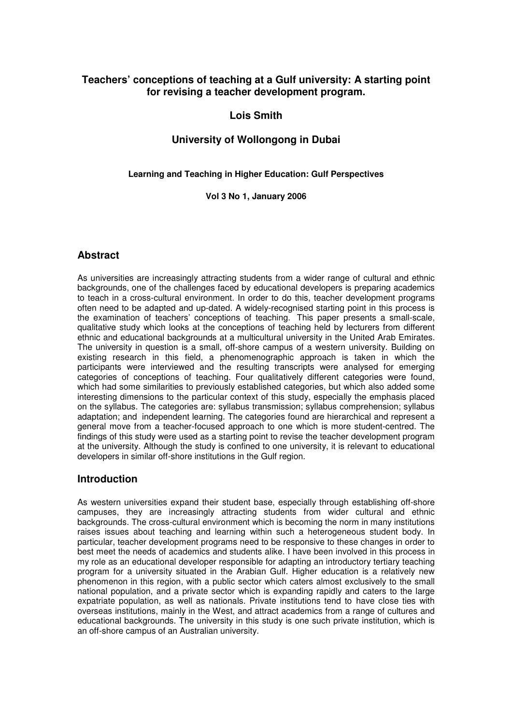# **Teachers' conceptions of teaching at a Gulf university: A starting point for revising a teacher development program.**

# **Lois Smith**

# **University of Wollongong in Dubai**

#### **Learning and Teaching in Higher Education: Gulf Perspectives**

#### **Vol 3 No 1, January 2006**

### **Abstract**

As universities are increasingly attracting students from a wider range of cultural and ethnic backgrounds, one of the challenges faced by educational developers is preparing academics to teach in a cross-cultural environment. In order to do this, teacher development programs often need to be adapted and up-dated. A widely-recognised starting point in this process is the examination of teachers' conceptions of teaching. This paper presents a small-scale, qualitative study which looks at the conceptions of teaching held by lecturers from different ethnic and educational backgrounds at a multicultural university in the United Arab Emirates. The university in question is a small, off-shore campus of a western university. Building on existing research in this field, a phenomenographic approach is taken in which the participants were interviewed and the resulting transcripts were analysed for emerging categories of conceptions of teaching. Four qualitatively different categories were found, which had some similarities to previously established categories, but which also added some interesting dimensions to the particular context of this study, especially the emphasis placed on the syllabus. The categories are: syllabus transmission; syllabus comprehension; syllabus adaptation; and independent learning. The categories found are hierarchical and represent a general move from a teacher-focused approach to one which is more student-centred. The findings of this study were used as a starting point to revise the teacher development program at the university. Although the study is confined to one university, it is relevant to educational developers in similar off-shore institutions in the Gulf region.

# **Introduction**

As western universities expand their student base, especially through establishing off-shore campuses, they are increasingly attracting students from wider cultural and ethnic backgrounds. The cross-cultural environment which is becoming the norm in many institutions raises issues about teaching and learning within such a heterogeneous student body. In particular, teacher development programs need to be responsive to these changes in order to best meet the needs of academics and students alike. I have been involved in this process in my role as an educational developer responsible for adapting an introductory tertiary teaching program for a university situated in the Arabian Gulf. Higher education is a relatively new phenomenon in this region, with a public sector which caters almost exclusively to the small national population, and a private sector which is expanding rapidly and caters to the large expatriate population, as well as nationals. Private institutions tend to have close ties with overseas institutions, mainly in the West, and attract academics from a range of cultures and educational backgrounds. The university in this study is one such private institution, which is an off-shore campus of an Australian university.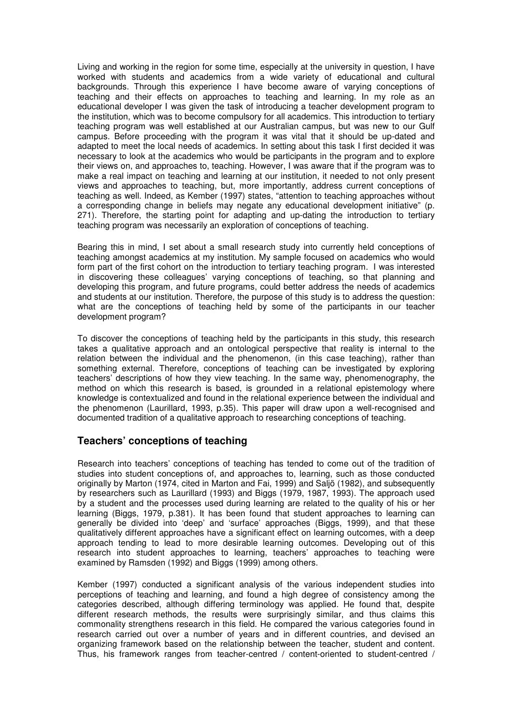Living and working in the region for some time, especially at the university in question, I have worked with students and academics from a wide variety of educational and cultural backgrounds. Through this experience I have become aware of varying conceptions of teaching and their effects on approaches to teaching and learning. In my role as an educational developer I was given the task of introducing a teacher development program to the institution, which was to become compulsory for all academics. This introduction to tertiary teaching program was well established at our Australian campus, but was new to our Gulf campus. Before proceeding with the program it was vital that it should be up-dated and adapted to meet the local needs of academics. In setting about this task I first decided it was necessary to look at the academics who would be participants in the program and to explore their views on, and approaches to, teaching. However, I was aware that if the program was to make a real impact on teaching and learning at our institution, it needed to not only present views and approaches to teaching, but, more importantly, address current conceptions of teaching as well. Indeed, as Kember (1997) states, "attention to teaching approaches without a corresponding change in beliefs may negate any educational development initiative" (p. 271). Therefore, the starting point for adapting and up-dating the introduction to tertiary teaching program was necessarily an exploration of conceptions of teaching.

Bearing this in mind, I set about a small research study into currently held conceptions of teaching amongst academics at my institution. My sample focused on academics who would form part of the first cohort on the introduction to tertiary teaching program. I was interested in discovering these colleagues' varying conceptions of teaching, so that planning and developing this program, and future programs, could better address the needs of academics and students at our institution. Therefore, the purpose of this study is to address the question: what are the conceptions of teaching held by some of the participants in our teacher development program?

To discover the conceptions of teaching held by the participants in this study, this research takes a qualitative approach and an ontological perspective that reality is internal to the relation between the individual and the phenomenon, (in this case teaching), rather than something external. Therefore, conceptions of teaching can be investigated by exploring teachers' descriptions of how they view teaching. In the same way, phenomenography, the method on which this research is based, is grounded in a relational epistemology where knowledge is contextualized and found in the relational experience between the individual and the phenomenon (Laurillard, 1993, p.35). This paper will draw upon a well-recognised and documented tradition of a qualitative approach to researching conceptions of teaching.

#### **Teachers' conceptions of teaching**

Research into teachers' conceptions of teaching has tended to come out of the tradition of studies into student conceptions of, and approaches to, learning, such as those conducted originally by Marton (1974, cited in Marton and Fai, 1999) and Saljö (1982), and subsequently by researchers such as Laurillard (1993) and Biggs (1979, 1987, 1993). The approach used by a student and the processes used during learning are related to the quality of his or her learning (Biggs, 1979, p.381). It has been found that student approaches to learning can generally be divided into 'deep' and 'surface' approaches (Biggs, 1999), and that these qualitatively different approaches have a significant effect on learning outcomes, with a deep approach tending to lead to more desirable learning outcomes. Developing out of this research into student approaches to learning, teachers' approaches to teaching were examined by Ramsden (1992) and Biggs (1999) among others.

Kember (1997) conducted a significant analysis of the various independent studies into perceptions of teaching and learning, and found a high degree of consistency among the categories described, although differing terminology was applied. He found that, despite different research methods, the results were surprisingly similar, and thus claims this commonality strengthens research in this field. He compared the various categories found in research carried out over a number of years and in different countries, and devised an organizing framework based on the relationship between the teacher, student and content. Thus, his framework ranges from teacher-centred / content-oriented to student-centred /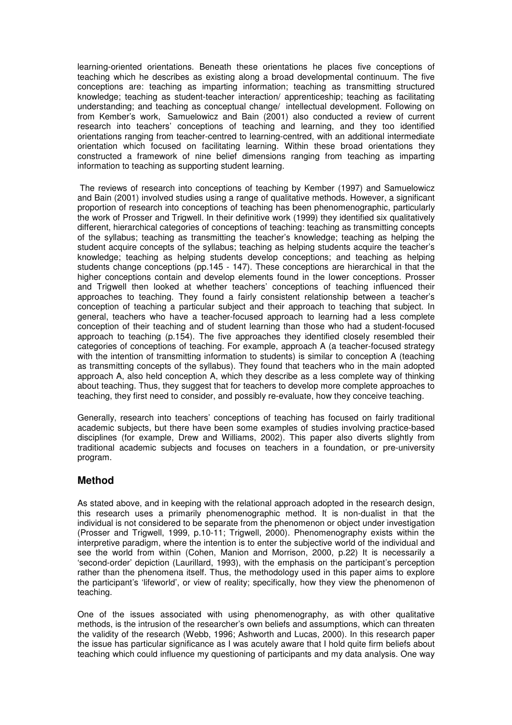learning-oriented orientations. Beneath these orientations he places five conceptions of teaching which he describes as existing along a broad developmental continuum. The five conceptions are: teaching as imparting information; teaching as transmitting structured knowledge; teaching as student-teacher interaction/ apprenticeship; teaching as facilitating understanding; and teaching as conceptual change/ intellectual development. Following on from Kember's work, Samuelowicz and Bain (2001) also conducted a review of current research into teachers' conceptions of teaching and learning, and they too identified orientations ranging from teacher-centred to learning-centred, with an additional intermediate orientation which focused on facilitating learning. Within these broad orientations they constructed a framework of nine belief dimensions ranging from teaching as imparting information to teaching as supporting student learning.

 The reviews of research into conceptions of teaching by Kember (1997) and Samuelowicz and Bain (2001) involved studies using a range of qualitative methods. However, a significant proportion of research into conceptions of teaching has been phenomenographic, particularly the work of Prosser and Trigwell. In their definitive work (1999) they identified six qualitatively different, hierarchical categories of conceptions of teaching: teaching as transmitting concepts of the syllabus; teaching as transmitting the teacher's knowledge; teaching as helping the student acquire concepts of the syllabus; teaching as helping students acquire the teacher's knowledge; teaching as helping students develop conceptions; and teaching as helping students change conceptions (pp.145 - 147). These conceptions are hierarchical in that the higher conceptions contain and develop elements found in the lower conceptions. Prosser and Trigwell then looked at whether teachers' conceptions of teaching influenced their approaches to teaching. They found a fairly consistent relationship between a teacher's conception of teaching a particular subject and their approach to teaching that subject. In general, teachers who have a teacher-focused approach to learning had a less complete conception of their teaching and of student learning than those who had a student-focused approach to teaching (p.154). The five approaches they identified closely resembled their categories of conceptions of teaching. For example, approach A (a teacher-focused strategy with the intention of transmitting information to students) is similar to conception A (teaching as transmitting concepts of the syllabus). They found that teachers who in the main adopted approach A, also held conception A, which they describe as a less complete way of thinking about teaching. Thus, they suggest that for teachers to develop more complete approaches to teaching, they first need to consider, and possibly re-evaluate, how they conceive teaching.

Generally, research into teachers' conceptions of teaching has focused on fairly traditional academic subjects, but there have been some examples of studies involving practice-based disciplines (for example, Drew and Williams, 2002). This paper also diverts slightly from traditional academic subjects and focuses on teachers in a foundation, or pre-university program.

#### **Method**

As stated above, and in keeping with the relational approach adopted in the research design, this research uses a primarily phenomenographic method. It is non-dualist in that the individual is not considered to be separate from the phenomenon or object under investigation (Prosser and Trigwell, 1999, p.10-11; Trigwell, 2000). Phenomenography exists within the interpretive paradigm, where the intention is to enter the subjective world of the individual and see the world from within (Cohen, Manion and Morrison, 2000, p.22) It is necessarily a 'second-order' depiction (Laurillard, 1993), with the emphasis on the participant's perception rather than the phenomena itself. Thus, the methodology used in this paper aims to explore the participant's 'lifeworld', or view of reality; specifically, how they view the phenomenon of teaching.

One of the issues associated with using phenomenography, as with other qualitative methods, is the intrusion of the researcher's own beliefs and assumptions, which can threaten the validity of the research (Webb, 1996; Ashworth and Lucas, 2000). In this research paper the issue has particular significance as I was acutely aware that I hold quite firm beliefs about teaching which could influence my questioning of participants and my data analysis. One way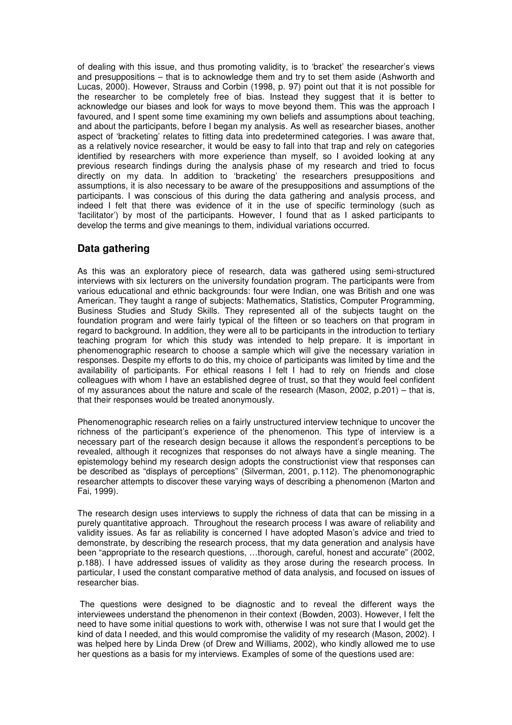of dealing with this issue, and thus promoting validity, is to 'bracket' the researcher's views and presuppositions – that is to acknowledge them and try to set them aside (Ashworth and Lucas, 2000). However, Strauss and Corbin (1998, p. 97) point out that it is not possible for the researcher to be completely free of bias. Instead they suggest that it is better to acknowledge our biases and look for ways to move beyond them. This was the approach I favoured, and I spent some time examining my own beliefs and assumptions about teaching, and about the participants, before I began my analysis. As well as researcher biases, another aspect of 'bracketing' relates to fitting data into predetermined categories. I was aware that, as a relatively novice researcher, it would be easy to fall into that trap and rely on categories identified by researchers with more experience than myself, so I avoided looking at any previous research findings during the analysis phase of my research and tried to focus directly on my data. In addition to 'bracketing' the researchers presuppositions and assumptions, it is also necessary to be aware of the presuppositions and assumptions of the participants. I was conscious of this during the data gathering and analysis process, and indeed I felt that there was evidence of it in the use of specific terminology (such as 'facilitator') by most of the participants. However, I found that as I asked participants to develop the terms and give meanings to them, individual variations occurred.

# **Data gathering**

As this was an exploratory piece of research, data was gathered using semi-structured interviews with six lecturers on the university foundation program. The participants were from various educational and ethnic backgrounds: four were Indian, one was British and one was American. They taught a range of subjects: Mathematics, Statistics, Computer Programming, Business Studies and Study Skills. They represented all of the subjects taught on the foundation program and were fairly typical of the fifteen or so teachers on that program in regard to background. In addition, they were all to be participants in the introduction to tertiary teaching program for which this study was intended to help prepare. It is important in phenomenographic research to choose a sample which will give the necessary variation in responses. Despite my efforts to do this, my choice of participants was limited by time and the availability of participants. For ethical reasons I felt I had to rely on friends and close colleagues with whom I have an established degree of trust, so that they would feel confident of my assurances about the nature and scale of the research (Mason, 2002, p.201) – that is, that their responses would be treated anonymously.

Phenomenographic research relies on a fairly unstructured interview technique to uncover the richness of the participant's experience of the phenomenon. This type of interview is a necessary part of the research design because it allows the respondent's perceptions to be revealed, although it recognizes that responses do not always have a single meaning. The epistemology behind my research design adopts the constructionist view that responses can be described as "displays of perceptions" (Silverman, 2001, p.112). The phenomonographic researcher attempts to discover these varying ways of describing a phenomenon (Marton and Fai, 1999).

The research design uses interviews to supply the richness of data that can be missing in a purely quantitative approach. Throughout the research process I was aware of reliability and validity issues. As far as reliability is concerned I have adopted Mason's advice and tried to demonstrate, by describing the research process, that my data generation and analysis have been "appropriate to the research questions, …thorough, careful, honest and accurate" (2002, p.188). I have addressed issues of validity as they arose during the research process. In particular, I used the constant comparative method of data analysis, and focused on issues of researcher bias.

 The questions were designed to be diagnostic and to reveal the different ways the interviewees understand the phenomenon in their context (Bowden, 2003). However, I felt the need to have some initial questions to work with, otherwise I was not sure that I would get the kind of data I needed, and this would compromise the validity of my research (Mason, 2002). I was helped here by Linda Drew (of Drew and Williams, 2002), who kindly allowed me to use her questions as a basis for my interviews. Examples of some of the questions used are: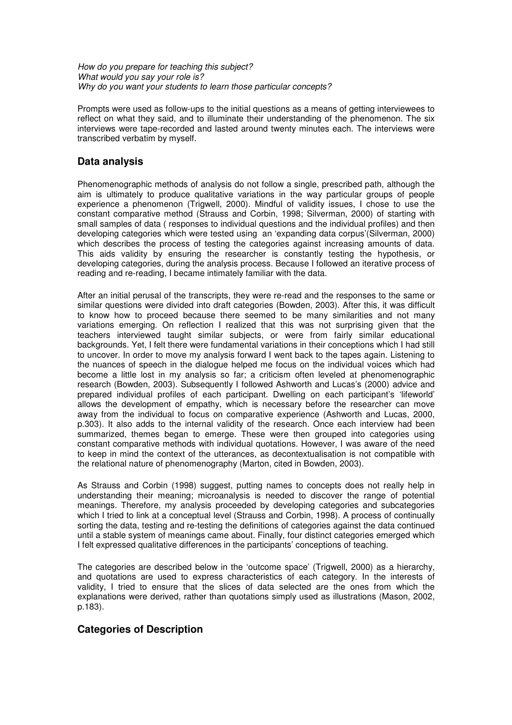How do you prepare for teaching this subject? What would you say your role is? Why do you want your students to learn those particular concepts?

Prompts were used as follow-ups to the initial questions as a means of getting interviewees to reflect on what they said, and to illuminate their understanding of the phenomenon. The six interviews were tape-recorded and lasted around twenty minutes each. The interviews were transcribed verbatim by myself.

## **Data analysis**

Phenomenographic methods of analysis do not follow a single, prescribed path, although the aim is ultimately to produce qualitative variations in the way particular groups of people experience a phenomenon (Trigwell, 2000). Mindful of validity issues, I chose to use the constant comparative method (Strauss and Corbin, 1998; Silverman, 2000) of starting with small samples of data ( responses to individual questions and the individual profiles) and then developing categories which were tested using an 'expanding data corpus'(Silverman, 2000) which describes the process of testing the categories against increasing amounts of data. This aids validity by ensuring the researcher is constantly testing the hypothesis, or developing categories, during the analysis process. Because I followed an iterative process of reading and re-reading, I became intimately familiar with the data.

After an initial perusal of the transcripts, they were re-read and the responses to the same or similar questions were divided into draft categories (Bowden, 2003). After this, it was difficult to know how to proceed because there seemed to be many similarities and not many variations emerging. On reflection I realized that this was not surprising given that the teachers interviewed taught similar subjects, or were from fairly similar educational backgrounds. Yet, I felt there were fundamental variations in their conceptions which I had still to uncover. In order to move my analysis forward I went back to the tapes again. Listening to the nuances of speech in the dialogue helped me focus on the individual voices which had become a little lost in my analysis so far; a criticism often leveled at phenomenographic research (Bowden, 2003). Subsequently I followed Ashworth and Lucas's (2000) advice and prepared individual profiles of each participant. Dwelling on each participant's 'lifeworld' allows the development of empathy, which is necessary before the researcher can move away from the individual to focus on comparative experience (Ashworth and Lucas, 2000, p.303). It also adds to the internal validity of the research. Once each interview had been summarized, themes began to emerge. These were then grouped into categories using constant comparative methods with individual quotations. However, I was aware of the need to keep in mind the context of the utterances, as decontextualisation is not compatible with the relational nature of phenomenography (Marton, cited in Bowden, 2003).

As Strauss and Corbin (1998) suggest, putting names to concepts does not really help in understanding their meaning; microanalysis is needed to discover the range of potential meanings. Therefore, my analysis proceeded by developing categories and subcategories which I tried to link at a conceptual level (Strauss and Corbin, 1998). A process of continually sorting the data, testing and re-testing the definitions of categories against the data continued until a stable system of meanings came about. Finally, four distinct categories emerged which I felt expressed qualitative differences in the participants' conceptions of teaching.

The categories are described below in the 'outcome space' (Trigwell, 2000) as a hierarchy, and quotations are used to express characteristics of each category. In the interests of validity, I tried to ensure that the slices of data selected are the ones from which the explanations were derived, rather than quotations simply used as illustrations (Mason, 2002, p.183).

# **Categories of Description**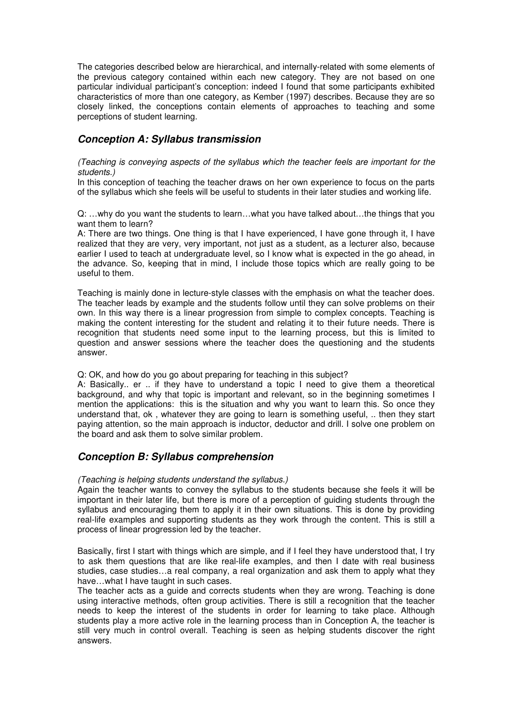The categories described below are hierarchical, and internally-related with some elements of the previous category contained within each new category. They are not based on one particular individual participant's conception: indeed I found that some participants exhibited characteristics of more than one category, as Kember (1997) describes. Because they are so closely linked, the conceptions contain elements of approaches to teaching and some perceptions of student learning.

## **Conception A: Syllabus transmission**

#### (Teaching is conveying aspects of the syllabus which the teacher feels are important for the students.)

In this conception of teaching the teacher draws on her own experience to focus on the parts of the syllabus which she feels will be useful to students in their later studies and working life.

Q: …why do you want the students to learn…what you have talked about…the things that you want them to learn?

A: There are two things. One thing is that I have experienced, I have gone through it, I have realized that they are very, very important, not just as a student, as a lecturer also, because earlier I used to teach at undergraduate level, so I know what is expected in the go ahead, in the advance. So, keeping that in mind, I include those topics which are really going to be useful to them.

Teaching is mainly done in lecture-style classes with the emphasis on what the teacher does. The teacher leads by example and the students follow until they can solve problems on their own. In this way there is a linear progression from simple to complex concepts. Teaching is making the content interesting for the student and relating it to their future needs. There is recognition that students need some input to the learning process, but this is limited to question and answer sessions where the teacher does the questioning and the students answer.

#### Q: OK, and how do you go about preparing for teaching in this subject?

A: Basically.. er .. if they have to understand a topic I need to give them a theoretical background, and why that topic is important and relevant, so in the beginning sometimes I mention the applications: this is the situation and why you want to learn this. So once they understand that, ok , whatever they are going to learn is something useful, .. then they start paying attention, so the main approach is inductor, deductor and drill. I solve one problem on the board and ask them to solve similar problem.

#### **Conception B: Syllabus comprehension**

#### (Teaching is helping students understand the syllabus.)

Again the teacher wants to convey the syllabus to the students because she feels it will be important in their later life, but there is more of a perception of guiding students through the syllabus and encouraging them to apply it in their own situations. This is done by providing real-life examples and supporting students as they work through the content. This is still a process of linear progression led by the teacher.

Basically, first I start with things which are simple, and if I feel they have understood that, I try to ask them questions that are like real-life examples, and then I date with real business studies, case studies…a real company, a real organization and ask them to apply what they have…what I have taught in such cases.

The teacher acts as a guide and corrects students when they are wrong. Teaching is done using interactive methods, often group activities. There is still a recognition that the teacher needs to keep the interest of the students in order for learning to take place. Although students play a more active role in the learning process than in Conception A, the teacher is still very much in control overall. Teaching is seen as helping students discover the right answers.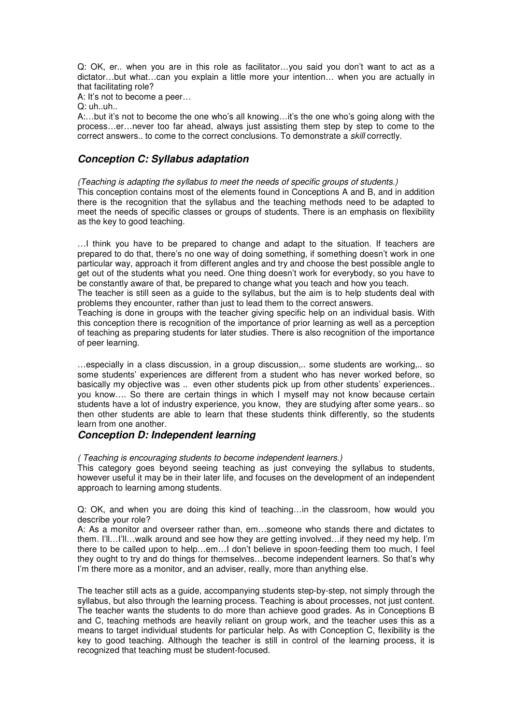Q: OK, er.. when you are in this role as facilitator…you said you don't want to act as a dictator…but what…can you explain a little more your intention… when you are actually in that facilitating role?

A: It's not to become a peer…

 $Q:$  uh..uh..

A:…but it's not to become the one who's all knowing…it's the one who's going along with the process…er…never too far ahead, always just assisting them step by step to come to the correct answers.. to come to the correct conclusions. To demonstrate a skill correctly.

## **Conception C: Syllabus adaptation**

(Teaching is adapting the syllabus to meet the needs of specific groups of students.) This conception contains most of the elements found in Conceptions A and B, and in addition there is the recognition that the syllabus and the teaching methods need to be adapted to meet the needs of specific classes or groups of students. There is an emphasis on flexibility as the key to good teaching.

…I think you have to be prepared to change and adapt to the situation. If teachers are prepared to do that, there's no one way of doing something, if something doesn't work in one particular way, approach it from different angles and try and choose the best possible angle to get out of the students what you need. One thing doesn't work for everybody, so you have to be constantly aware of that, be prepared to change what you teach and how you teach.

The teacher is still seen as a guide to the syllabus, but the aim is to help students deal with problems they encounter, rather than just to lead them to the correct answers.

Teaching is done in groups with the teacher giving specific help on an individual basis. With this conception there is recognition of the importance of prior learning as well as a perception of teaching as preparing students for later studies. There is also recognition of the importance of peer learning.

…especially in a class discussion, in a group discussion,.. some students are working,.. so some students' experiences are different from a student who has never worked before, so basically my objective was .. even other students pick up from other students' experiences.. you know…. So there are certain things in which I myself may not know because certain students have a lot of industry experience, you know, they are studying after some years.. so then other students are able to learn that these students think differently, so the students learn from one another.

#### **Conception D: Independent learning**

( Teaching is encouraging students to become independent learners.)

This category goes beyond seeing teaching as just conveying the syllabus to students, however useful it may be in their later life, and focuses on the development of an independent approach to learning among students.

Q: OK, and when you are doing this kind of teaching…in the classroom, how would you describe your role?

A: As a monitor and overseer rather than, em…someone who stands there and dictates to them. I'll…I'll…walk around and see how they are getting involved…if they need my help. I'm there to be called upon to help…em…I don't believe in spoon-feeding them too much, I feel they ought to try and do things for themselves…become independent learners. So that's why I'm there more as a monitor, and an adviser, really, more than anything else.

The teacher still acts as a guide, accompanying students step-by-step, not simply through the syllabus, but also through the learning process. Teaching is about processes, not just content. The teacher wants the students to do more than achieve good grades. As in Conceptions B and C, teaching methods are heavily reliant on group work, and the teacher uses this as a means to target individual students for particular help. As with Conception C, flexibility is the key to good teaching. Although the teacher is still in control of the learning process, it is recognized that teaching must be student-focused.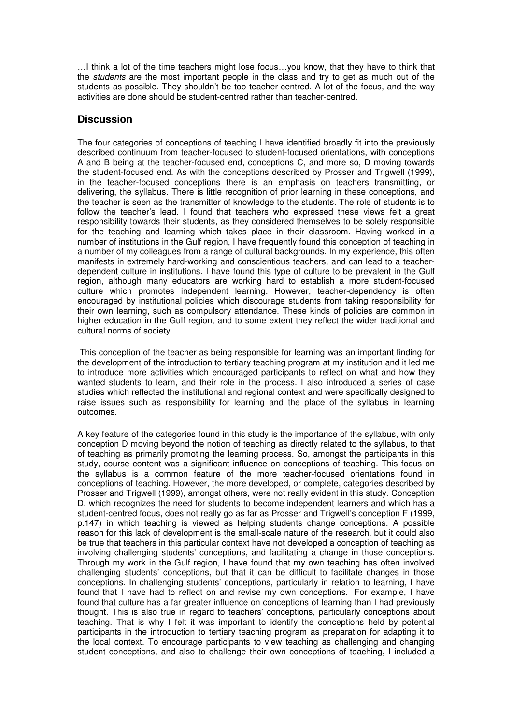…I think a lot of the time teachers might lose focus…you know, that they have to think that the students are the most important people in the class and try to get as much out of the students as possible. They shouldn't be too teacher-centred. A lot of the focus, and the way activities are done should be student-centred rather than teacher-centred.

### **Discussion**

The four categories of conceptions of teaching I have identified broadly fit into the previously described continuum from teacher-focused to student-focused orientations, with conceptions A and B being at the teacher-focused end, conceptions C, and more so, D moving towards the student-focused end. As with the conceptions described by Prosser and Trigwell (1999), in the teacher-focused conceptions there is an emphasis on teachers transmitting, or delivering, the syllabus. There is little recognition of prior learning in these conceptions, and the teacher is seen as the transmitter of knowledge to the students. The role of students is to follow the teacher's lead. I found that teachers who expressed these views felt a great responsibility towards their students, as they considered themselves to be solely responsible for the teaching and learning which takes place in their classroom. Having worked in a number of institutions in the Gulf region, I have frequently found this conception of teaching in a number of my colleagues from a range of cultural backgrounds. In my experience, this often manifests in extremely hard-working and conscientious teachers, and can lead to a teacherdependent culture in institutions. I have found this type of culture to be prevalent in the Gulf region, although many educators are working hard to establish a more student-focused culture which promotes independent learning. However, teacher-dependency is often encouraged by institutional policies which discourage students from taking responsibility for their own learning, such as compulsory attendance. These kinds of policies are common in higher education in the Gulf region, and to some extent they reflect the wider traditional and cultural norms of society.

 This conception of the teacher as being responsible for learning was an important finding for the development of the introduction to tertiary teaching program at my institution and it led me to introduce more activities which encouraged participants to reflect on what and how they wanted students to learn, and their role in the process. I also introduced a series of case studies which reflected the institutional and regional context and were specifically designed to raise issues such as responsibility for learning and the place of the syllabus in learning outcomes.

A key feature of the categories found in this study is the importance of the syllabus, with only conception D moving beyond the notion of teaching as directly related to the syllabus, to that of teaching as primarily promoting the learning process. So, amongst the participants in this study, course content was a significant influence on conceptions of teaching. This focus on the syllabus is a common feature of the more teacher-focused orientations found in conceptions of teaching. However, the more developed, or complete, categories described by Prosser and Trigwell (1999), amongst others, were not really evident in this study. Conception D, which recognizes the need for students to become independent learners and which has a student-centred focus, does not really go as far as Prosser and Trigwell's conception F (1999, p.147) in which teaching is viewed as helping students change conceptions. A possible reason for this lack of development is the small-scale nature of the research, but it could also be true that teachers in this particular context have not developed a conception of teaching as involving challenging students' conceptions, and facilitating a change in those conceptions. Through my work in the Gulf region, I have found that my own teaching has often involved challenging students' conceptions, but that it can be difficult to facilitate changes in those conceptions. In challenging students' conceptions, particularly in relation to learning, I have found that I have had to reflect on and revise my own conceptions. For example, I have found that culture has a far greater influence on conceptions of learning than I had previously thought. This is also true in regard to teachers' conceptions, particularly conceptions about teaching. That is why I felt it was important to identify the conceptions held by potential participants in the introduction to tertiary teaching program as preparation for adapting it to the local context. To encourage participants to view teaching as challenging and changing student conceptions, and also to challenge their own conceptions of teaching, I included a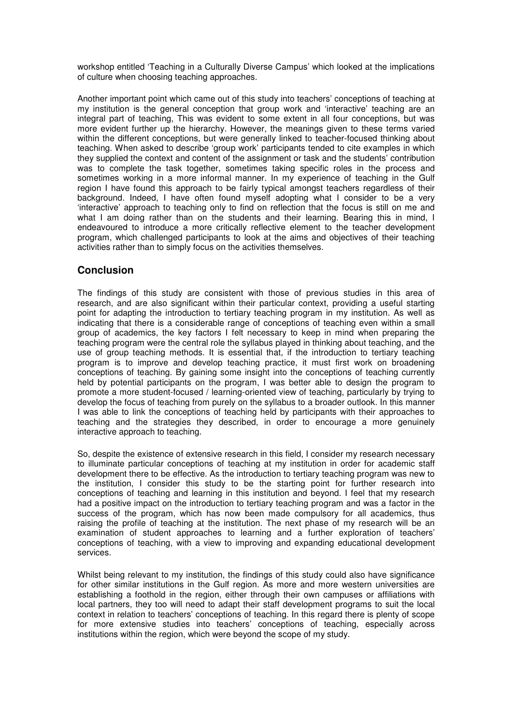workshop entitled 'Teaching in a Culturally Diverse Campus' which looked at the implications of culture when choosing teaching approaches.

Another important point which came out of this study into teachers' conceptions of teaching at my institution is the general conception that group work and 'interactive' teaching are an integral part of teaching, This was evident to some extent in all four conceptions, but was more evident further up the hierarchy. However, the meanings given to these terms varied within the different conceptions, but were generally linked to teacher-focused thinking about teaching. When asked to describe 'group work' participants tended to cite examples in which they supplied the context and content of the assignment or task and the students' contribution was to complete the task together, sometimes taking specific roles in the process and sometimes working in a more informal manner. In my experience of teaching in the Gulf region I have found this approach to be fairly typical amongst teachers regardless of their background. Indeed, I have often found myself adopting what I consider to be a very 'interactive' approach to teaching only to find on reflection that the focus is still on me and what I am doing rather than on the students and their learning. Bearing this in mind, I endeavoured to introduce a more critically reflective element to the teacher development program, which challenged participants to look at the aims and objectives of their teaching activities rather than to simply focus on the activities themselves.

# **Conclusion**

The findings of this study are consistent with those of previous studies in this area of research, and are also significant within their particular context, providing a useful starting point for adapting the introduction to tertiary teaching program in my institution. As well as indicating that there is a considerable range of conceptions of teaching even within a small group of academics, the key factors I felt necessary to keep in mind when preparing the teaching program were the central role the syllabus played in thinking about teaching, and the use of group teaching methods. It is essential that, if the introduction to tertiary teaching program is to improve and develop teaching practice, it must first work on broadening conceptions of teaching. By gaining some insight into the conceptions of teaching currently held by potential participants on the program, I was better able to design the program to promote a more student-focused / learning-oriented view of teaching, particularly by trying to develop the focus of teaching from purely on the syllabus to a broader outlook. In this manner I was able to link the conceptions of teaching held by participants with their approaches to teaching and the strategies they described, in order to encourage a more genuinely interactive approach to teaching.

So, despite the existence of extensive research in this field, I consider my research necessary to illuminate particular conceptions of teaching at my institution in order for academic staff development there to be effective. As the introduction to tertiary teaching program was new to the institution, I consider this study to be the starting point for further research into conceptions of teaching and learning in this institution and beyond. I feel that my research had a positive impact on the introduction to tertiary teaching program and was a factor in the success of the program, which has now been made compulsory for all academics, thus raising the profile of teaching at the institution. The next phase of my research will be an examination of student approaches to learning and a further exploration of teachers' conceptions of teaching, with a view to improving and expanding educational development services.

Whilst being relevant to my institution, the findings of this study could also have significance for other similar institutions in the Gulf region. As more and more western universities are establishing a foothold in the region, either through their own campuses or affiliations with local partners, they too will need to adapt their staff development programs to suit the local context in relation to teachers' conceptions of teaching. In this regard there is plenty of scope for more extensive studies into teachers' conceptions of teaching, especially across institutions within the region, which were beyond the scope of my study.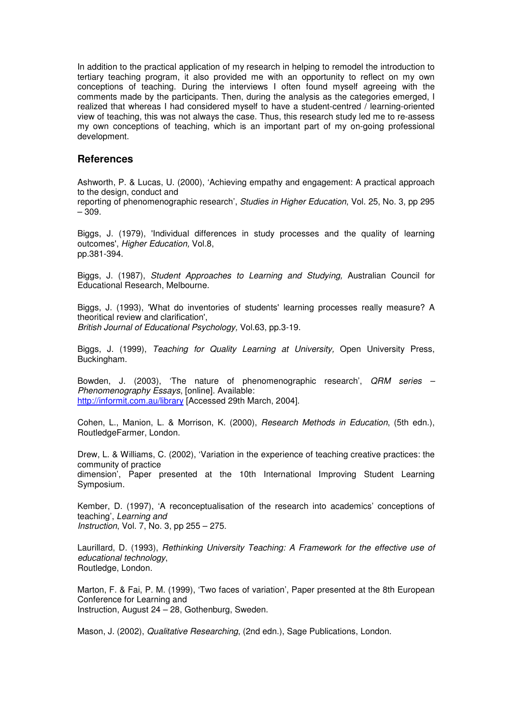In addition to the practical application of my research in helping to remodel the introduction to tertiary teaching program, it also provided me with an opportunity to reflect on my own conceptions of teaching. During the interviews I often found myself agreeing with the comments made by the participants. Then, during the analysis as the categories emerged, I realized that whereas I had considered myself to have a student-centred / learning-oriented view of teaching, this was not always the case. Thus, this research study led me to re-assess my own conceptions of teaching, which is an important part of my on-going professional development.

#### **References**

Ashworth, P. & Lucas, U. (2000), 'Achieving empathy and engagement: A practical approach to the design, conduct and reporting of phenomenographic research', Studies in Higher Education, Vol. 25, No. 3, pp 295

– 309.

Biggs, J. (1979), 'Individual differences in study processes and the quality of learning outcomes', Higher Education, Vol.8, pp.381-394.

Biggs, J. (1987), Student Approaches to Learning and Studying, Australian Council for Educational Research, Melbourne.

Biggs, J. (1993), 'What do inventories of students' learning processes really measure? A theoritical review and clarification', British Journal of Educational Psychology, Vol.63, pp.3-19.

Biggs, J. (1999), Teaching for Quality Learning at University, Open University Press, Buckingham.

Bowden, J. (2003), 'The nature of phenomenographic research', QRM series – Phenomenography Essays, [online]. Available: http://informit.com.au/library [Accessed 29th March, 2004].

Cohen, L., Manion, L. & Morrison, K. (2000), Research Methods in Education, (5th edn.), RoutledgeFarmer, London.

Drew, L. & Williams, C. (2002), 'Variation in the experience of teaching creative practices: the community of practice dimension', Paper presented at the 10th International Improving Student Learning Symposium.

Kember, D. (1997), 'A reconceptualisation of the research into academics' conceptions of teaching', Learning and Instruction, Vol. 7, No. 3, pp 255 – 275.

Laurillard, D. (1993), Rethinking University Teaching: A Framework for the effective use of educational technology, Routledge, London.

Marton, F. & Fai, P. M. (1999), 'Two faces of variation', Paper presented at the 8th European Conference for Learning and Instruction, August 24 – 28, Gothenburg, Sweden.

Mason, J. (2002), Qualitative Researching, (2nd edn.), Sage Publications, London.